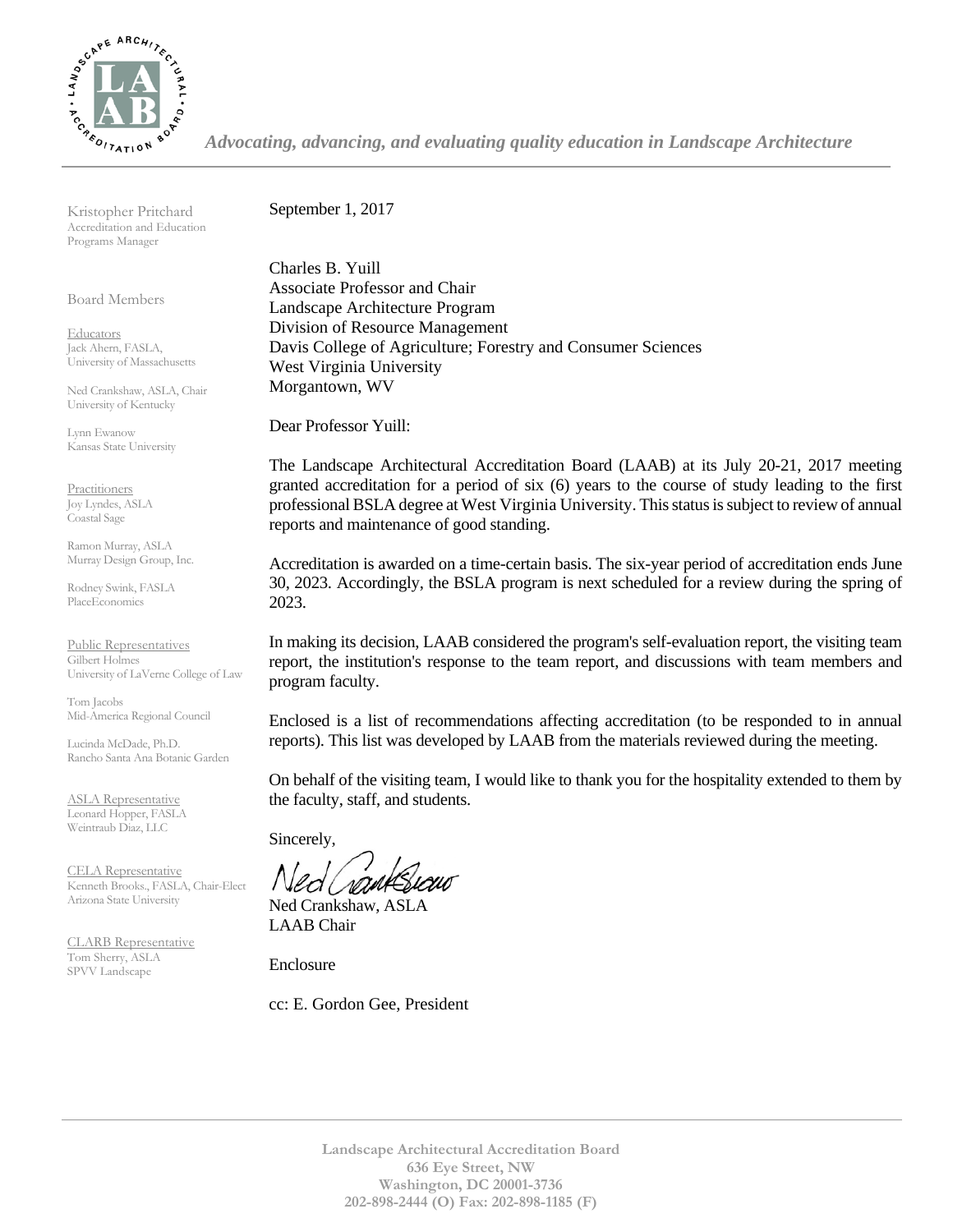

*Advocating, advancing, and evaluating quality education in Landscape Architecture*

Kristopher Pritchard Accreditation and Education Programs Manager

Board Members

**Educators** Jack Ahern, FASLA, University of Massachusetts

Ned Crankshaw, ASLA, Chair University of Kentucky

Lynn Ewanow Kansas State University

**Practitioners** Joy Lyndes, ASLA Coastal Sage

Ramon Murray, ASLA Murray Design Group, Inc.

Rodney Swink, FASLA PlaceEconomics

Public Representatives Gilbert Holmes University of LaVerne College of Law

Tom Jacobs Mid-America Regional Council

Lucinda McDade, Ph.D. Rancho Santa Ana Botanic Garden

ASLA Representative Leonard Hopper, FASLA Weintraub Diaz, LLC

CELA Representative Kenneth Brooks., FASLA, Chair-Elect Arizona State University

CLARB Representative Tom Sherry, ASLA SPVV Landscape

September 1, 2017

Charles B. Yuill Associate Professor and Chair Landscape Architecture Program Division of Resource Management Davis College of Agriculture; Forestry and Consumer Sciences West Virginia University Morgantown, WV

Dear Professor Yuill:

The Landscape Architectural Accreditation Board (LAAB) at its July 20-21, 2017 meeting granted accreditation for a period of six (6) years to the course of study leading to the first professional BSLA degree at West Virginia University. This status is subject to review of annual reports and maintenance of good standing.

Accreditation is awarded on a time-certain basis. The six-year period of accreditation ends June 30, 2023. Accordingly, the BSLA program is next scheduled for a review during the spring of 2023.

In making its decision, LAAB considered the program's self-evaluation report, the visiting team report, the institution's response to the team report, and discussions with team members and program faculty.

Enclosed is a list of recommendations affecting accreditation (to be responded to in annual reports). This list was developed by LAAB from the materials reviewed during the meeting.

On behalf of the visiting team, I would like to thank you for the hospitality extended to them by the faculty, staff, and students.

Sincerely,

Ned Crankshaw, ASLA LAAB Chair

Enclosure

cc: E. Gordon Gee, President